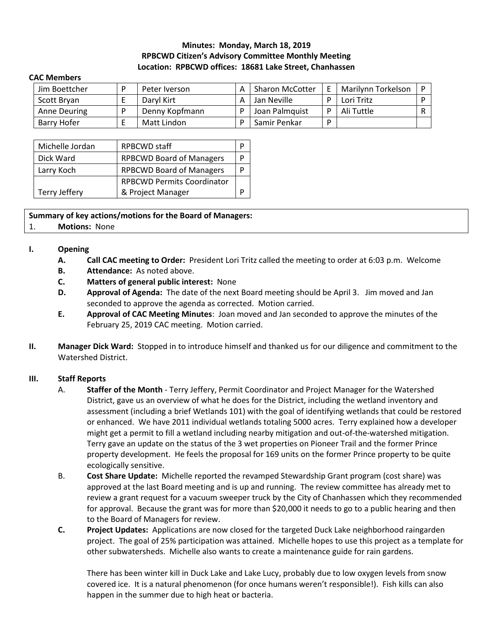# **Minutes: Monday, March 18, 2019 RPBCWD Citizen's Advisory Committee Monthly Meeting Location: RPBCWD offices: 18681 Lake Street, Chanhassen**

#### **CAC Members**

| Jim Boettcher | Peter Iverson  | <b>Sharon McCotter</b> | Marilynn Torkelson |  |
|---------------|----------------|------------------------|--------------------|--|
| Scott Bryan   | Daryl Kirt     | Jan Neville            | Lori Tritz         |  |
| Anne Deuring  | Denny Kopfmann | Joan Palmquist         | Ali Tuttle         |  |
| Barry Hofer   | Matt Lindon    | Samir Penkar           |                    |  |

| Michelle Jordan      | <b>RPBCWD</b> staff               |   |  |  |  |
|----------------------|-----------------------------------|---|--|--|--|
| Dick Ward            | <b>RPBCWD Board of Managers</b>   |   |  |  |  |
| Larry Koch           | <b>RPBCWD Board of Managers</b>   | D |  |  |  |
|                      | <b>RPBCWD Permits Coordinator</b> |   |  |  |  |
| <b>Terry Jeffery</b> | & Project Manager                 |   |  |  |  |

**Summary of key actions/motions for the Board of Managers:**  1. **Motions:** None

### **I. Opening**

- **A. Call CAC meeting to Order:** President Lori Tritz called the meeting to order at 6:03 p.m. Welcome
- **B. Attendance:** As noted above.
- **C. Matters of general public interest:** None
- **D. Approval of Agenda:** The date of the next Board meeting should be April 3.Jim moved and Jan seconded to approve the agenda as corrected. Motion carried.
- **E. Approval of CAC Meeting Minutes**: Joan moved and Jan seconded to approve the minutes of the February 25, 2019 CAC meeting. Motion carried.
- **II. Manager Dick Ward:** Stopped in to introduce himself and thanked us for our diligence and commitment to the Watershed District.

#### **III. Staff Reports**

- A. **Staffer of the Month** Terry Jeffery, Permit Coordinator and Project Manager for the Watershed District, gave us an overview of what he does for the District, including the wetland inventory and assessment (including a brief Wetlands 101) with the goal of identifying wetlands that could be restored or enhanced. We have 2011 individual wetlands totaling 5000 acres. Terry explained how a developer might get a permit to fill a wetland including nearby mitigation and out-of-the-watershed mitigation. Terry gave an update on the status of the 3 wet properties on Pioneer Trail and the former Prince property development. He feels the proposal for 169 units on the former Prince property to be quite ecologically sensitive.
- B. **Cost Share Update:** Michelle reported the revamped Stewardship Grant program (cost share) was approved at the last Board meeting and is up and running. The review committee has already met to review a grant request for a vacuum sweeper truck by the City of Chanhassen which they recommended for approval. Because the grant was for more than \$20,000 it needs to go to a public hearing and then to the Board of Managers for review.
- **C. Project Updates:** Applications are now closed for the targeted Duck Lake neighborhood raingarden project. The goal of 25% participation was attained. Michelle hopes to use this project as a template for other subwatersheds. Michelle also wants to create a maintenance guide for rain gardens.

There has been winter kill in Duck Lake and Lake Lucy, probably due to low oxygen levels from snow covered ice. It is a natural phenomenon (for once humans weren't responsible!). Fish kills can also happen in the summer due to high heat or bacteria.